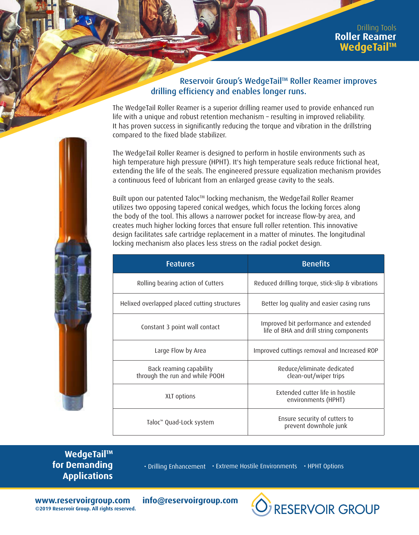## Reservoir Group's WedgeTail™ Roller Reamer improves drilling efficiency and enables longer runs.

The WedgeTail Roller Reamer is a superior drilling reamer used to provide enhanced run life with a unique and robust retention mechanism – resulting in improved reliability. It has proven success in significantly reducing the torque and vibration in the drillstring compared to the fixed blade stabilizer.

The WedgeTail Roller Reamer is designed to perform in hostile environments such as high temperature high pressure (HPHT). It's high temperature seals reduce frictional heat, extending the life of the seals. The engineered pressure equalization mechanism provides a continuous feed of lubricant from an enlarged grease cavity to the seals.

Built upon our patented Taloc™ locking mechanism, the WedgeTail Roller Reamer utilizes two opposing tapered conical wedges, which focus the locking forces along the body of the tool. This allows a narrower pocket for increase flow-by area, and creates much higher locking forces that ensure full roller retention. This innovative design facilitates safe cartridge replacement in a matter of minutes. The longitudinal locking mechanism also places less stress on the radial pocket design.

| <b>Features</b>                                           | <b>Benefits</b>                                                                  |  |  |  |  |
|-----------------------------------------------------------|----------------------------------------------------------------------------------|--|--|--|--|
| Rolling bearing action of Cutters                         | Reduced drilling torque, stick-slip & vibrations                                 |  |  |  |  |
| Helixed overlapped placed cutting structures              | Better log quality and easier casing runs                                        |  |  |  |  |
| Constant 3 point wall contact                             | Improved bit performance and extended<br>life of BHA and drill string components |  |  |  |  |
| Large Flow by Area                                        | Improved cuttings removal and Increased ROP                                      |  |  |  |  |
| Back reaming capability<br>through the run and while POOH | Reduce/eliminate dedicated<br>clean-out/wiper trips                              |  |  |  |  |
| XLT options                                               | Extended cutter life in hostile<br>environments (HPHT)                           |  |  |  |  |
| Taloc <sup>™</sup> Quad-Lock system                       | Ensure security of cutters to<br>prevent downhole junk                           |  |  |  |  |

**WedgeTail™ for Demanding Applications**

• Drilling Enhancement • Extreme Hostile Environments • HPHT Options

**RESERVOIR GROUP** 

**www.reservoirgroup.com info@reservoirgroup.com ©2019 Reservoir Group. All rights reserved.**